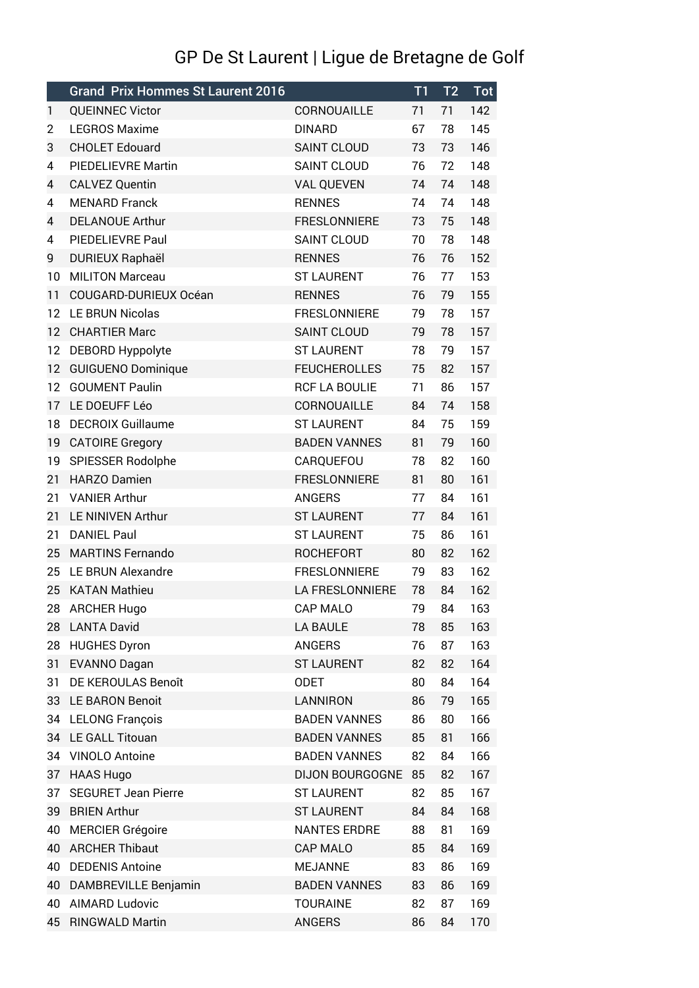## GP De St Laurent | Ligue de Bretagne de Golf

|    | <b>Grand Prix Hommes St Laurent 2016</b> |                        | T1 | T <sub>2</sub> | Tot |
|----|------------------------------------------|------------------------|----|----------------|-----|
| 1  | <b>QUEINNEC Victor</b>                   | CORNOUAILLE            | 71 | 71             | 142 |
| 2  | <b>LEGROS Maxime</b>                     | <b>DINARD</b>          | 67 | 78             | 145 |
| 3  | <b>CHOLET Edouard</b>                    | <b>SAINT CLOUD</b>     | 73 | 73             | 146 |
| 4  | PIEDELIEVRE Martin                       | <b>SAINT CLOUD</b>     | 76 | 72             | 148 |
| 4  | <b>CALVEZ Quentin</b>                    | <b>VAL QUEVEN</b>      | 74 | 74             | 148 |
| 4  | <b>MENARD Franck</b>                     | <b>RENNES</b>          | 74 | 74             | 148 |
| 4  | <b>DELANOUE Arthur</b>                   | <b>FRESLONNIERE</b>    | 73 | 75             | 148 |
| 4  | PIEDELIEVRE Paul                         | <b>SAINT CLOUD</b>     | 70 | 78             | 148 |
| 9  | <b>DURIEUX Raphaël</b>                   | <b>RENNES</b>          | 76 | 76             | 152 |
| 10 | <b>MILITON Marceau</b>                   | <b>ST LAURENT</b>      | 76 | 77             | 153 |
| 11 | COUGARD-DURIEUX Océan                    | <b>RENNES</b>          | 76 | 79             | 155 |
| 12 | LE BRUN Nicolas                          | <b>FRESLONNIERE</b>    | 79 | 78             | 157 |
| 12 | <b>CHARTIER Marc</b>                     | <b>SAINT CLOUD</b>     | 79 | 78             | 157 |
| 12 | DEBORD Hyppolyte                         | <b>ST LAURENT</b>      | 78 | 79             | 157 |
| 12 | <b>GUIGUENO Dominique</b>                | <b>FEUCHEROLLES</b>    | 75 | 82             | 157 |
| 12 | <b>GOUMENT Paulin</b>                    | <b>RCF LA BOULIE</b>   | 71 | 86             | 157 |
| 17 | LE DOEUFF Léo                            | CORNOUAILLE            | 84 | 74             | 158 |
| 18 | <b>DECROIX Guillaume</b>                 | <b>ST LAURENT</b>      | 84 | 75             | 159 |
| 19 | <b>CATOIRE Gregory</b>                   | <b>BADEN VANNES</b>    | 81 | 79             | 160 |
| 19 | SPIESSER Rodolphe                        | CARQUEFOU              | 78 | 82             | 160 |
| 21 | <b>HARZO Damien</b>                      | <b>FRESLONNIERE</b>    | 81 | 80             | 161 |
| 21 | <b>VANIER Arthur</b>                     | ANGERS                 | 77 | 84             | 161 |
| 21 | LE NINIVEN Arthur                        | <b>ST LAURENT</b>      | 77 | 84             | 161 |
| 21 | <b>DANIEL Paul</b>                       | <b>ST LAURENT</b>      | 75 | 86             | 161 |
| 25 | <b>MARTINS Fernando</b>                  | <b>ROCHEFORT</b>       | 80 | 82             | 162 |
| 25 | LE BRUN Alexandre                        | <b>FRESLONNIERE</b>    | 79 | 83             | 162 |
| 25 | <b>KATAN Mathieu</b>                     | LA FRESLONNIERE        | 78 | 84             | 162 |
| 28 | <b>ARCHER Hugo</b>                       | CAP MALO               | 79 | 84             | 163 |
| 28 | <b>LANTA David</b>                       | <b>LA BAULE</b>        | 78 | 85             | 163 |
| 28 | <b>HUGHES Dyron</b>                      | ANGERS                 | 76 | 87             | 163 |
| 31 | <b>EVANNO Dagan</b>                      | <b>ST LAURENT</b>      | 82 | 82             | 164 |
| 31 | DE KEROULAS Benoît                       | <b>ODET</b>            | 80 | 84             | 164 |
| 33 | <b>LE BARON Benoit</b>                   | LANNIRON               | 86 | 79             | 165 |
| 34 | <b>LELONG François</b>                   | <b>BADEN VANNES</b>    | 86 | 80             | 166 |
| 34 | LE GALL Titouan                          | <b>BADEN VANNES</b>    | 85 | 81             | 166 |
| 34 | <b>VINOLO Antoine</b>                    | <b>BADEN VANNES</b>    | 82 | 84             | 166 |
| 37 | <b>HAAS Hugo</b>                         | <b>DIJON BOURGOGNE</b> | 85 | 82             | 167 |
| 37 | <b>SEGURET Jean Pierre</b>               | <b>ST LAURENT</b>      | 82 | 85             | 167 |
| 39 | <b>BRIEN Arthur</b>                      | <b>ST LAURENT</b>      | 84 | 84             | 168 |
| 40 | <b>MERCIER Grégoire</b>                  | <b>NANTES ERDRE</b>    | 88 | 81             | 169 |
| 40 | <b>ARCHER Thibaut</b>                    | <b>CAP MALO</b>        | 85 | 84             | 169 |
| 40 | <b>DEDENIS Antoine</b>                   | <b>MEJANNE</b>         | 83 | 86             | 169 |
| 40 | DAMBREVILLE Benjamin                     | <b>BADEN VANNES</b>    | 83 | 86             | 169 |
| 40 | <b>AIMARD Ludovic</b>                    | <b>TOURAINE</b>        | 82 | 87             | 169 |
| 45 | <b>RINGWALD Martin</b>                   | ANGERS                 | 86 | 84             | 170 |